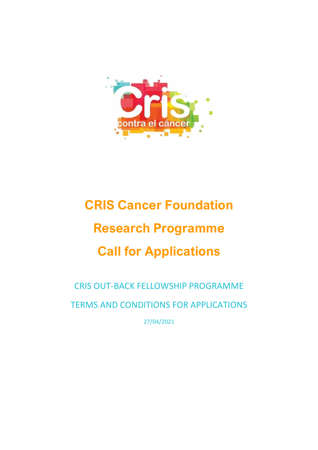

# **CRIS Cancer Foundation Research Programme Call for Applications**

CRIS OUT-BACK FELLOWSHIP PROGRAMME TERMS AND CONDITIONS FOR APPLICATIONS

27/04/2021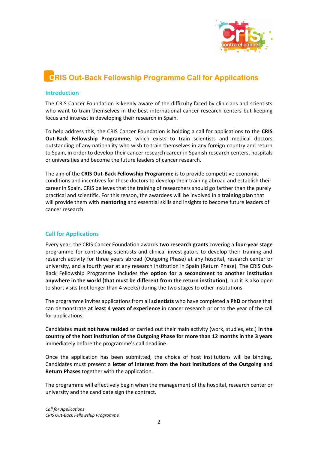

# **CRIS Out-Back Fellowship Programme Call for Applications**

#### **Introduction**

The CRIS Cancer Foundation is keenly aware of the difficulty faced by clinicians and scientists who want to train themselves in the best international cancer research centers but keeping focus and interest in developing their research in Spain.

To help address this, the CRIS Cancer Foundation is holding a call for applications to the **CRIS Out-Back Fellowship Programme**, which exists to train scientists and medical doctors outstanding of any nationality who wish to train themselves in any foreign country and return to Spain, in order to develop their cancer research career in Spanish research centers, hospitals or universities and become the future leaders of cancer research.

The aim of the **CRIS Out-Back Fellowship Programme** is to provide competitive economic conditions and incentives for these doctors to develop their training abroad and establish their career in Spain. CRIS believes that the training of researchers should go farther than the purely practical and scientific. For this reason, the awardees will be involved in a **training plan** that will provide them with **mentoring** and essential skills and insights to become future leaders of cancer research.

# **Call for Applications**

Every year, the CRIS Cancer Foundation awards **two research grants** covering a **four-year stage** programme for contracting scientists and clinical investigators to develop their training and research activity for three years abroad (Outgoing Phase) at any hospital, research center or university, and a fourth year at any research institution in Spain (Return Phase). The CRIS Out-Back Fellowship Programme includes the **option for a secondment to another institution anywhere in the world (that must be different from the return institution)**, but it is also open to short visits (not longer than 4 weeks) during the two stages to other institutions.

The programme invites applications from all **scientists** who have completed a **PhD** or those that can demonstrate **at least 4 years of experience** in cancer research prior to the year of the call for applications.

Candidates **must not have resided** or carried out their main activity (work, studies, etc.) **in the country of the host institution of the Outgoing Phase for more than 12 months in the 3 years** immediately before the programme's call deadline.

Once the application has been submitted, the choice of host institutions will be binding. Candidates must present a **letter of interest from the host institutions of the Outgoing and Return Phases** together with the application.

The programme will effectively begin when the management of the hospital, research center or university and the candidate sign the contract.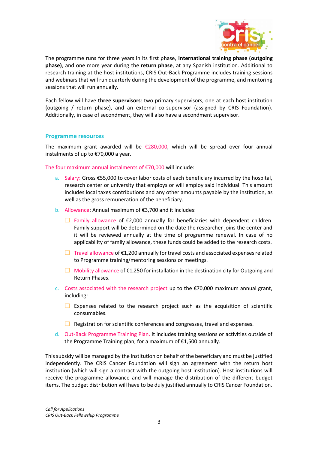

The programme runs for three years in its first phase, **international training phase (outgoing phase)**, and one more year during the **return phase**, at any Spanish institution. Additional to research training at the host institutions, CRIS Out-Back Programme includes training sessions and webinars that will run quarterly during the development of the programme, and mentoring sessions that will run annually.

Each fellow will have **three supervisors**: two primary supervisors, one at each host institution (outgoing / return phase), and an external co-supervisor (assigned by CRIS Foundation). Additionally, in case of secondment, they will also have a secondment supervisor.

#### **Programme resources**

The maximum grant awarded will be  $E$ 280,000, which will be spread over four annual instalments of up to €70,000 a year.

The four maximum annual instalments of €70,000 will include:

- a. Salary: Gross €55,000 to cover labor costs of each beneficiary incurred by the hospital, research center or university that employs or will employ said individual. This amount includes local taxes contributions and any other amounts payable by the institution, as well as the gross remuneration of the beneficiary.
- b. Allowance: Annual maximum of €3,700 and it includes:
	- $□$  Family allowance of €2,000 annually for beneficiaries with dependent children. Family support will be determined on the date the researcher joins the center and it will be reviewed annually at the time of programme renewal. In case of no applicability of family allowance, these funds could be added to the research costs.
	- $\Box$  Travel allowance of  $\epsilon$ 1,200 annually for travel costs and associated expenses related to Programme training/mentoring sessions or meetings.
	- $\Box$  Mobility allowance of  $\epsilon$ 1,250 for installation in the destination city for Outgoing and Return Phases.
- c. Costs associated with the research project up to the  $\epsilon$ 70,000 maximum annual grant, including:
	- $\Box$  Expenses related to the research project such as the acquisition of scientific consumables.
	- $\Box$  Registration for scientific conferences and congresses, travel and expenses.
- d. Out-Back Programme Training Plan. it includes training sessions or activities outside of the Programme Training plan, for a maximum of €1,500 annually.

This subsidy will be managed by the institution on behalf of the beneficiary and must be justified independently. The CRIS Cancer Foundation will sign an agreement with the return host institution (which will sign a contract with the outgoing host institution). Host institutions will receive the programme allowance and will manage the distribution of the different budget items. The budget distribution will have to be duly justified annually to CRIS Cancer Foundation.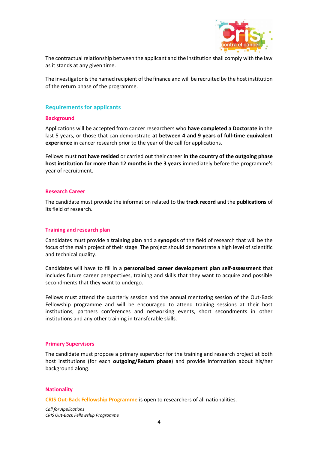

The contractual relationship between the applicant and the institution shall comply with the law as it stands at any given time.

The investigator is the named recipient of the finance and will be recruited by the host institution of the return phase of the programme.

# **Requirements for applicants**

#### **Background**

Applications will be accepted from cancer researchers who **have completed a Doctorate** in the last 5 years, or those that can demonstrate **at between 4 and 9 years of full-time equivalent experience** in cancer research prior to the year of the call for applications.

Fellows must **not have resided** or carried out their career **in the country of the outgoing phase host institution for more than 12 months in the 3 years** immediately before the programme's year of recruitment.

#### **Research Career**

The candidate must provide the information related to the **track record** and the **publications** of its field of research.

#### **Training and research plan**

Candidates must provide a **training plan** and a **synopsis** of the field of research that will be the focus of the main project of their stage. The project should demonstrate a high level of scientific and technical quality.

Candidates will have to fill in a **personalized career development plan self-assessment** that includes future career perspectives, training and skills that they want to acquire and possible secondments that they want to undergo.

Fellows must attend the quarterly session and the annual mentoring session of the Out-Back Fellowship programme and will be encouraged to attend training sessions at their host institutions, partners conferences and networking events, short secondments in other institutions and any other training in transferable skills.

#### **Primary Supervisors**

The candidate must propose a primary supervisor for the training and research project at both host institutions (for each **outgoing/Return phase**) and provide information about his/her background along.

#### **Nationality**

**CRIS Out-Back Fellowship Programme** is open to researchers of all nationalities.

*Call for Applications CRIS Out-Back Fellowship Programme*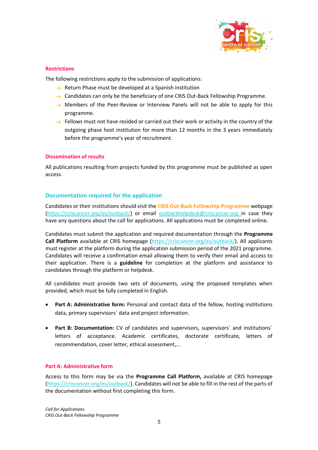

#### **Restrictions**

The following restrictions apply to the submission of applications:

- $\rightarrow$  Return Phase must be developed at a Spanish institution
- $\rightarrow$  Candidates can only be the beneficiary of one CRIS Out-Back Fellowship Programme.
- $\rightarrow$  Members of the Peer-Review or Interview Panels will not be able to apply for this programme.
- $\rightarrow$  Fellows must not have resided or carried out their work or activity in the country of the outgoing phase host institution for more than 12 months in the 3 years immediately before the programme's year of recruitment.

#### **Dissemination of results**

All publications resulting from projects funded by this programme must be published as open access.

#### **Documentation required for the application**

Candidates or their institutions should visit the **CRIS Out-Back Fellowship Programme** webpage (https://criscancer.org/es/outback/) or email [outbackhelpdesk@criscancer.org](mailto:outbackhelpdesk@criscancer.org) in case they have any questions about the call for applications. All applications must be completed online.

Candidates must submit the application and required documentation through the **Programme Call Platform** available at CRIS homepage (https://criscancer.org/es/outback/). All applicants must register at the platform during the application submission period of the 2021 programme. Candidates will receive a confirmation email allowing them to verify their email and access to their application. There is a **guideline** for completion at the platform and assistance to candidates through the platform or helpdesk.

All candidates must provide two sets of documents, using the proposed templates when provided, which must be fully completed in English.

- Part A: Administrative form: Personal and contact data of the fellow, hosting institutions data, primary supervisors` data and project information.
- **Part B: Documentation:** CV of candidates and supervisors, supervisors´ and institutions´ letters of acceptance. Academic certificates, doctorate certificate, letters of recommendation, cover letter, ethical assessment,...

#### **Part A: Administrative form**

Access to this form may be via the **Programme Call Platform,** available at CRIS homepage (https://criscancer.org/es/outback/). Candidates will not be able to fill in the rest of the parts of the documentation without first completing this form.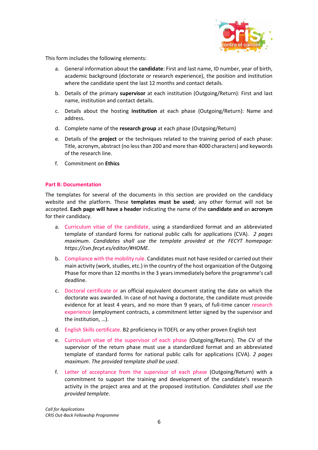

This form includes the following elements:

- a. General information about the **candidate**: First and last name, ID number, year of birth, academic background (doctorate or research experience), the position and institution where the candidate spent the last 12 months and contact details.
- b. Details of the primary **supervisor** at each institution (Outgoing/Return): First and last name, institution and contact details.
- c. Details about the hosting **institution** at each phase (Outgoing/Return): Name and address.
- d. Complete name of the **research group** at each phase (Outgoing/Return)
- e. Details of the **project** or the techniques related to the training period of each phase: Title, acronym, abstract (no less than 200 and more than 4000 characters) and keywords of the research line.
- f. Commitment on **Ethics**

#### **Part B: Documentation**

The templates for several of the documents in this section are provided on the candidacy website and the platform. These **templates must be used**; any other format will not be accepted. **Each page will have a header** indicating the name of the **candidate and** an **acronym** for their candidacy.

- a. Curriculum vitae of the candidate, using a standardized format and an abbreviated template of standard forms for national public calls for applications (CVA). *2 pages maximum*. *Candidates shall use the template provided at the FECYT homepage: https://cvn.fecyt.es/editor/#HOME*.
- b. Compliance with the mobility rule. Candidates must not have resided or carried out their main activity (work, studies, etc.) in the country of the host organization of the Outgoing Phase for more than 12 months in the 3 years immediately before the programme's call deadline.
- c. Doctoral certificate or an official equivalent document stating the date on which the doctorate was awarded. In case of not having a doctorate, the candidate must provide evidence for at least 4 years, and no more than 9 years, of full-time cancer research experience (employment contracts, a commitment letter signed by the supervisor and the institution, …).
- d. English Skills certificate. B2 proficiency in TOEFL or any other proven English test
- e. Curriculum vitae of the supervisor of each phase (Outgoing/Return). The CV of the supervisor of the return phase must use a standardized format and an abbreviated template of standard forms for national public calls for applications (CVA). *2 pages maximum*. *The provided template shall be used*.
- f. Letter of acceptance from the supervisor of each phase (Outgoing/Return) with a commitment to support the training and development of the candidate's research activity in the project area and at the proposed institution. *Candidates shall use the provided template*.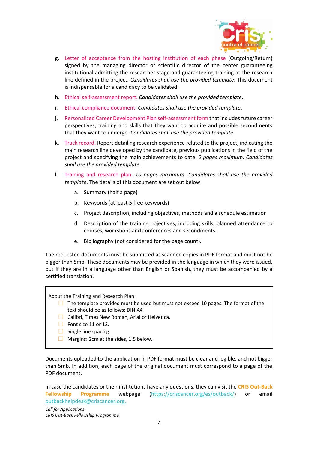

- g. Letter of acceptance from the hosting institution of each phase (Outgoing/Return) signed by the managing director or scientific director of the center guaranteeing institutional admitting the researcher stage and guaranteeing training at the research line defined in the project. *Candidates shall use the provided template*. This document is indispensable for a candidacy to be validated.
- h. Ethical self-assessment report. *Candidates shall use the provided template*.
- i. Ethical compliance document. *Candidates shall use the provided template*.
- j. Personalized Career Development Plan self-assessment form that includes future career perspectives, training and skills that they want to acquire and possible secondments that they want to undergo. *Candidates shall use the provided template*.
- k. Track record. Report detailing research experience related to the project, indicating the main research line developed by the candidate, previous publications in the field of the project and specifying the main achievements to date. *2 pages maximum. Candidates shall use the provided template*.
- l. Training and research plan. *10 pages maximum*. *Candidates shall use the provided template*. The details of this document are set out below.
	- a. Summary (half a page)
	- b. Keywords (at least 5 free keywords)
	- c. Project description, including objectives, methods and a schedule estimation
	- d. Description of the training objectives, including skills, planned attendance to courses, workshops and conferences and secondments.
	- e. Bibliography (not considered for the page count).

The requested documents must be submitted as scanned copies in PDF format and must not be bigger than 5mb. These documents may be provided in the language in which they were issued, but if they are in a language other than English or Spanish, they must be accompanied by a certified translation.

About the Training and Research Plan:

- $\Box$  The template provided must be used but must not exceed 10 pages. The format of the text should be as follows: DIN A4
- □ Calibri, Times New Roman, Arial or Helvetica.
- $\Box$  Font size 11 or 12.
- $\Box$  Single line spacing.
- $\Box$  Margins: 2cm at the sides, 1.5 below.

Documents uploaded to the application in PDF format must be clear and legible, and not bigger than 5mb. In addition, each page of the original document must correspond to a page of the PDF document.

In case the candidates or their institutions have any questions, they can visit the **CRIS Out-Back Fellowship Programme** webpage (https://criscancer.org/es/outback/) or email [outbackhelpdesk@criscancer.org.](mailto:outbackhelpdesk@criscancer.org)

*Call for Applications CRIS Out-Back Fellowship Programme*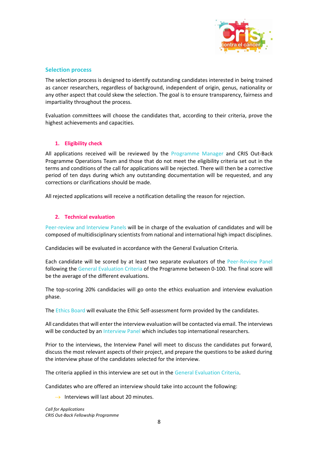

#### **Selection process**

The selection process is designed to identify outstanding candidates interested in being trained as cancer researchers, regardless of background, independent of origin, genus, nationality or any other aspect that could skew the selection. The goal is to ensure transparency, fairness and impartiality throughout the process.

Evaluation committees will choose the candidates that, according to their criteria, prove the highest achievements and capacities.

#### **1. Eligibility check**

All applications received will be reviewed by the Programme Manager and CRIS Out-Back Programme Operations Team and those that do not meet the eligibility criteria set out in the terms and conditions of the call for applications will be rejected. There will then be a corrective period of ten days during which any outstanding documentation will be requested, and any corrections or clarifications should be made.

All rejected applications will receive a notification detailing the reason for rejection.

#### **2. Technical evaluation**

Peer-review and Interview Panels will be in charge of the evaluation of candidates and will be composed of multidisciplinary scientists from national and international high impact disciplines.

Candidacies will be evaluated in accordance with the General Evaluation Criteria.

Each candidate will be scored by at least two separate evaluators of the Peer-Review Panel following the General Evaluation Criteria of the Programme between 0-100. The final score will be the average of the different evaluations.

The top-scoring 20% candidacies will go onto the ethics evaluation and interview evaluation phase.

The Ethics Board will evaluate the Ethic Self-assessment form provided by the candidates.

All candidates that will enter the interview evaluation will be contacted via email. The interviews will be conducted by an Interview Panel which includes top international researchers.

Prior to the interviews, the Interview Panel will meet to discuss the candidates put forward, discuss the most relevant aspects of their project, and prepare the questions to be asked during the interview phase of the candidates selected for the interview.

The criteria applied in this interview are set out in the General Evaluation Criteria.

Candidates who are offered an interview should take into account the following:

 $\rightarrow$  Interviews will last about 20 minutes.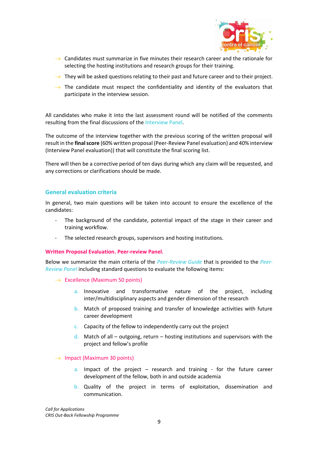

- $\rightarrow$  Candidates must summarize in five minutes their research career and the rationale for selecting the hosting institutions and research groups for their training.
- $\rightarrow$  They will be asked questions relating to their past and future career and to their project.
- $\rightarrow$  The candidate must respect the confidentiality and identity of the evaluators that participate in the interview session.

All candidates who make it into the last assessment round will be notified of the comments resulting from the final discussions of the Interview Panel.

The outcome of the interview together with the previous scoring of the written proposal will result in the **final score** (60% written proposal (Peer-Review Panel evaluation) and 40% interview (Interview Panel evaluation)) that will constitute the final scoring list.

There will then be a corrective period of ten days during which any claim will be requested, and any corrections or clarifications should be made.

#### **General evaluation criteria**

In general, two main questions will be taken into account to ensure the excellence of the candidates:

- The background of the candidate, potential impact of the stage in their career and training workflow.
- The selected research groups, supervisors and hosting institutions.

#### **Written Proposal Evaluation. Peer-review Panel.**

Below we summarize the main criteria of the *Peer-Review Guide* that is provided to the *Peer-Review Panel* including standard questions to evaluate the following items:

- $\rightarrow$  Excellence (Maximum 50 points)
	- a. Innovative and transformative nature of the project, including inter/multidisciplinary aspects and gender dimension of the research
	- b. Match of proposed training and transfer of knowledge activities with future career development
	- c. Capacity of the fellow to independently carry out the project
	- d. Match of all outgoing, return hosting institutions and supervisors with the project and fellow's profile

#### $\rightarrow$  Impact (Maximum 30 points)

- a. Impact of the project  $-$  research and training for the future career development of the fellow, both in and outside academia
- b. Quality of the project in terms of exploitation, dissemination and communication.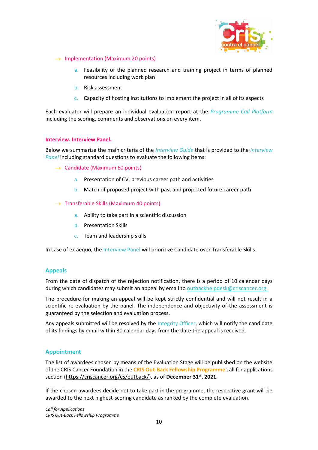

- $\rightarrow$  Implementation (Maximum 20 points)
	- a. Feasibility of the planned research and training project in terms of planned resources including work plan
	- b. Risk assessment
	- c. Capacity of hosting institutions to implement the project in all of its aspects

Each evaluator will prepare an individual evaluation report at the *Programme Call Platform*  including the scoring, comments and observations on every item.

#### **Interview. Interview Panel.**

Below we summarize the main criteria of the *Interview Guide* that is provided to the *Interview Panel* including standard questions to evaluate the following items:

- $\rightarrow$  Candidate (Maximum 60 points)
	- a. Presentation of CV, previous career path and activities
	- b. Match of proposed project with past and projected future career path
- $\rightarrow$  Transferable Skills (Maximum 40 points)
	- a. Ability to take part in a scientific discussion
	- b. Presentation Skills
	- c. Team and leadership skills

In case of ex aequo, the Interview Panel will prioritize Candidate over Transferable Skills.

#### **Appeals**

From the date of dispatch of the rejection notification, there is a period of 10 calendar days during which candidates may submit an appeal by email to [outbackhelpdesk@criscancer.org.](mailto:outbackhelpdesk@criscancer.org)

The procedure for making an appeal will be kept strictly confidential and will not result in a scientific re-evaluation by the panel. The independence and objectivity of the assessment is guaranteed by the selection and evaluation process.

Any appeals submitted will be resolved by the Integrity Officer, which will notify the candidate of its findings by email within 30 calendar days from the date the appeal is received.

#### **Appointment**

The list of awardees chosen by means of the Evaluation Stage will be published on the website of the CRIS Cancer Foundation in the **CRIS Out-Back Fellowship Programme** call for applications section [\(https://criscancer.org/es/outback/\)](https://criscancer.org/es/outback/), as of **December 31st, 2021**.

If the chosen awardees decide not to take part in the programme, the respective grant will be awarded to the next highest-scoring candidate as ranked by the complete evaluation.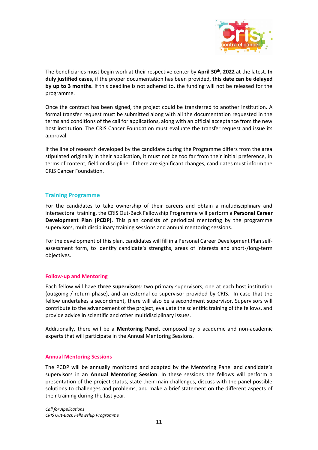

The beneficiaries must begin work at their respective center by **April 30th, 2022** at the latest. **In duly justified cases,** if the proper documentation has been provided, **this date can be delayed by up to 3 months.** If this deadline is not adhered to, the funding will not be released for the programme.

Once the contract has been signed, the project could be transferred to another institution. A formal transfer request must be submitted along with all the documentation requested in the terms and conditions of the call for applications, along with an official acceptance from the new host institution. The CRIS Cancer Foundation must evaluate the transfer request and issue its approval.

If the line of research developed by the candidate during the Programme differs from the area stipulated originally in their application, it must not be too far from their initial preference, in terms of content, field or discipline. If there are significant changes, candidates must inform the CRIS Cancer Foundation.

# **Training Programme**

For the candidates to take ownership of their careers and obtain a multidisciplinary and intersectoral training, the CRIS Out-Back Fellowship Programme will perform a **Personal Career Development Plan (PCDP)**. This plan consists of periodical mentoring by the programme supervisors, multidisciplinary training sessions and annual mentoring sessions.

For the development of this plan, candidates will fill in a Personal Career Development Plan selfassessment form, to identify candidate's strengths, areas of interests and short-/long-term objectives.

#### **Follow-up and Mentoring**

Each fellow will have **three supervisors**: two primary supervisors, one at each host institution (outgoing / return phase), and an external co-supervisor provided by CRIS. In case that the fellow undertakes a secondment, there will also be a secondment supervisor. Supervisors will contribute to the advancement of the project, evaluate the scientific training of the fellows, and provide advice in scientific and other multidisciplinary issues.

Additionally, there will be a **Mentoring Panel**, composed by 5 academic and non-academic experts that will participate in the Annual Mentoring Sessions.

#### **Annual Mentoring Sessions**

The PCDP will be annually monitored and adapted by the Mentoring Panel and candidate's supervisors in an **Annual Mentoring Session**. In these sessions the fellows will perform a presentation of the project status, state their main challenges, discuss with the panel possible solutions to challenges and problems, and make a brief statement on the different aspects of their training during the last year.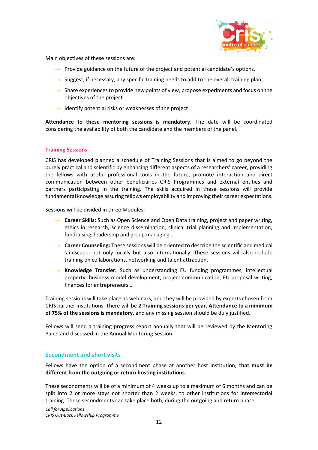

Main objectives of these sessions are:

- $\rightarrow$  Provide guidance on the future of the project and potential candidate's options.
- $\rightarrow$  Suggest, if necessary, any specific training needs to add to the overall training plan.
- $\rightarrow$  Share experiences to provide new points of view, propose experiments and focus on the objectives of the project.
- $\rightarrow$  Identify potential risks or weaknesses of the project

**Attendance to these mentoring sessions is mandatory.** The date will be coordinated considering the availability of both the candidate and the members of the panel.

#### **Training Sessions**

CRIS has developed planned a schedule of Training Sessions that is aimed to go beyond the purely practical and scientific by enhancing different aspects of a researchers' career, providing the fellows with useful professional tools in the future, promote interaction and direct communication between other beneficiaries CRIS Programmes and external entities and partners participating in the training. The skills acquired in these sessions will provide fundamental knowledge assuring fellows employability and improving their career expectations.

Sessions will be divided in three Modules:

- → **Career Skills:** Such as Open Science and Open Data training, project and paper writing, ethics in research, science dissemination, clinical trial planning and implementation, fundraising, leadership and group managing…
- → **Career Counseling:** These sessions will be oriented to describe the scientific and medical landscape, not only locally but also internationally. These sessions will also include training on collaborations, networking and talent attraction.
- → **Knowledge Transfer:** Such as understanding EU funding programmes, intellectual property, business model development, project communication, EU proposal writing, finances for entrepreneurs…

Training sessions will take place as webinars, and they will be provided by experts chosen from CRIS partner institutions. There will be **2 Training sessions per year. Attendance to a minimum of 75% of the sessions is mandatory,** and any missing session should be duly justified.

Fellows will send a training progress report annually that will be reviewed by the Mentoring Panel and discussed in the Annual Mentoring Session.

# **Secondment and short visits**

Fellows have the option of a secondment phase at another host institution, **that must be different from the outgoing or return hosting institutions**.

These secondments will be of a minimum of 4 weeks up to a maximum of 6 months and can be split into 2 or more stays not shorter than 2 weeks, to other institutions for intersectorial training. These secondments can take place both, during the outgoing and return phase.

*Call for Applications CRIS Out-Back Fellowship Programme*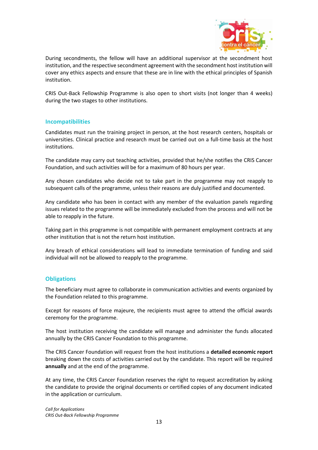

During secondments, the fellow will have an additional supervisor at the secondment host institution, and the respective secondment agreement with the secondment host institution will cover any ethics aspects and ensure that these are in line with the ethical principles of Spanish institution.

CRIS Out-Back Fellowship Programme is also open to short visits (not longer than 4 weeks) during the two stages to other institutions.

#### **Incompatibilities**

Candidates must run the training project in person, at the host research centers, hospitals or universities. Clinical practice and research must be carried out on a full-time basis at the host institutions.

The candidate may carry out teaching activities, provided that he/she notifies the CRIS Cancer Foundation, and such activities will be for a maximum of 80 hours per year.

Any chosen candidates who decide not to take part in the programme may not reapply to subsequent calls of the programme, unless their reasons are duly justified and documented.

Any candidate who has been in contact with any member of the evaluation panels regarding issues related to the programme will be immediately excluded from the process and will not be able to reapply in the future.

Taking part in this programme is not compatible with permanent employment contracts at any other institution that is not the return host institution.

Any breach of ethical considerations will lead to immediate termination of funding and said individual will not be allowed to reapply to the programme.

# **Obligations**

The beneficiary must agree to collaborate in communication activities and events organized by the Foundation related to this programme.

Except for reasons of force majeure, the recipients must agree to attend the official awards ceremony for the programme.

The host institution receiving the candidate will manage and administer the funds allocated annually by the CRIS Cancer Foundation to this programme.

The CRIS Cancer Foundation will request from the host institutions a **detailed economic report**  breaking down the costs of activities carried out by the candidate. This report will be required **annually** and at the end of the programme.

At any time, the CRIS Cancer Foundation reserves the right to request accreditation by asking the candidate to provide the original documents or certified copies of any document indicated in the application or curriculum.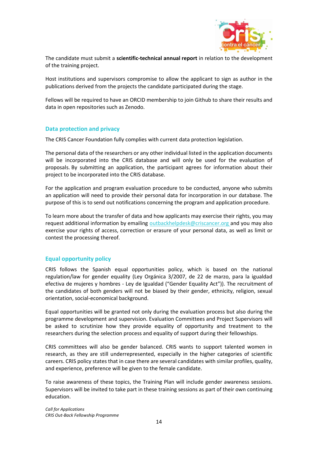

The candidate must submit a **scientific-technical annual report** in relation to the development of the training project.

Host institutions and supervisors compromise to allow the applicant to sign as author in the publications derived from the projects the candidate participated during the stage.

Fellows will be required to have an ORCID membership to join Github to share their results and data in open repositories such as Zenodo.

#### **Data protection and privacy**

The CRIS Cancer Foundation fully complies with current data protection legislation.

The personal data of the researchers or any other individual listed in the application documents will be incorporated into the CRIS database and will only be used for the evaluation of proposals. By submitting an application, the participant agrees for information about their project to be incorporated into the CRIS database.

For the application and program evaluation procedure to be conducted, anyone who submits an application will need to provide their personal data for incorporation in our database. The purpose of this is to send out notifications concerning the program and application procedure.

To learn more about the transfer of data and how applicants may exercise their rights, you may request additional information by emailing [outbackhelpdesk@criscancer.org](mailto:outbackhelpdesk@criscancer.org) and you may also exercise your rights of access, correction or erasure of your personal data, as well as limit or contest the processing thereof.

# **Equal opportunity policy**

CRIS follows the Spanish equal opportunities policy, which is based on the national regulation/law for gender equality (Ley Orgánica 3/2007, de 22 de marzo, para la igualdad efectiva de mujeres y hombres - Ley de Igualdad ("Gender Equality Act")). The recruitment of the candidates of both genders will not be biased by their gender, ethnicity, religion, sexual orientation, social-economical background.

Equal opportunities will be granted not only during the evaluation process but also during the programme development and supervision. Evaluation Committees and Project Supervisors will be asked to scrutinize how they provide equality of opportunity and treatment to the researchers during the selection process and equality of support during their fellowships.

CRIS committees will also be gender balanced. CRIS wants to support talented women in research, as they are still underrepresented, especially in the higher categories of scientific careers. CRIS policy states that in case there are several candidates with similar profiles, quality, and experience, preference will be given to the female candidate.

To raise awareness of these topics, the Training Plan will include gender awareness sessions. Supervisors will be invited to take part in these training sessions as part of their own continuing education.